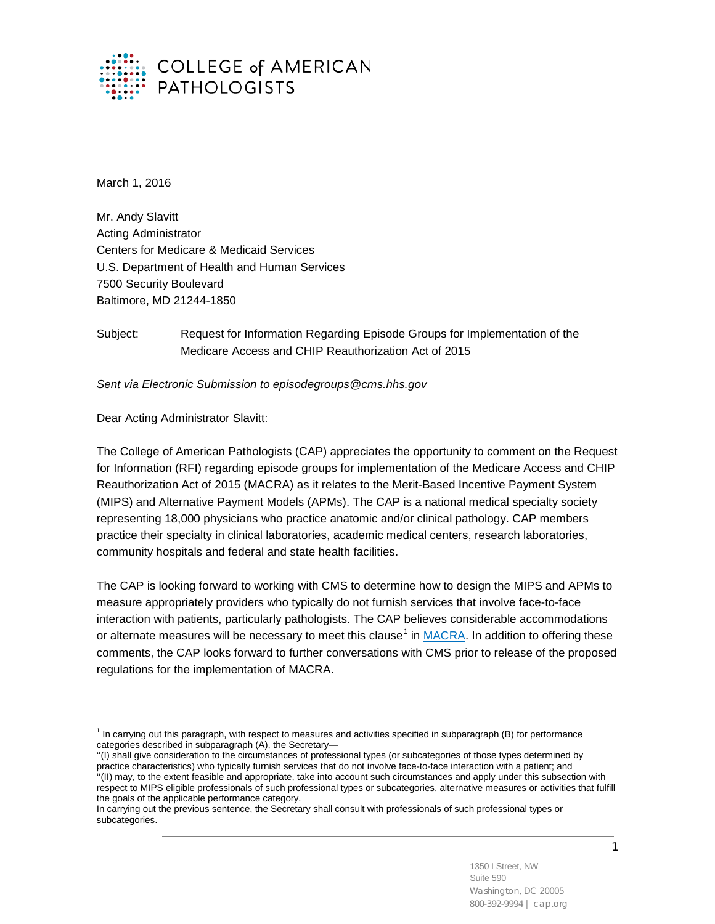

March 1, 2016

Mr. Andy Slavitt Acting Administrator Centers for Medicare & Medicaid Services U.S. Department of Health and Human Services 7500 Security Boulevard Baltimore, MD 21244-1850

Subject: Request for Information Regarding Episode Groups for Implementation of the Medicare Access and CHIP Reauthorization Act of 2015

*Sent via Electronic Submission to episodegroups@cms.hhs.gov*

Dear Acting Administrator Slavitt:

The College of American Pathologists (CAP) appreciates the opportunity to comment on the Request for Information (RFI) regarding episode groups for implementation of the Medicare Access and CHIP Reauthorization Act of 2015 (MACRA) as it relates to the Merit-Based Incentive Payment System (MIPS) and Alternative Payment Models (APMs). The CAP is a national medical specialty society representing 18,000 physicians who practice anatomic and/or clinical pathology. CAP members practice their specialty in clinical laboratories, academic medical centers, research laboratories, community hospitals and federal and state health facilities.

The CAP is looking forward to working with CMS to determine how to design the MIPS and APMs to measure appropriately providers who typically do not furnish services that involve face-to-face interaction with patients, particularly pathologists. The CAP believes considerable accommodations or alternate measures will be necessary to meet this clause<sup>[1](#page-0-0)</sup> in [MACRA.](https://www.gpo.gov/fdsys/pkg/PLAW-114publ10/html/PLAW-114publ10.htm) In addition to offering these comments, the CAP looks forward to further conversations with CMS prior to release of the proposed regulations for the implementation of MACRA.

<span id="page-0-0"></span> $1$  In carrying out this paragraph, with respect to measures and activities specified in subparagraph (B) for performance categories described in subparagraph (A), the Secretary—  $\overline{a}$ 

<sup>&#</sup>x27;'(I) shall give consideration to the circumstances of professional types (or subcategories of those types determined by practice characteristics) who typically furnish services that do not involve face-to-face interaction with a patient; and ''(II) may, to the extent feasible and appropriate, take into account such circumstances and apply under this subsection with respect to MIPS eligible professionals of such professional types or subcategories, alternative measures or activities that fulfill the goals of the applicable performance category.

In carrying out the previous sentence, the Secretary shall consult with professionals of such professional types or subcategories.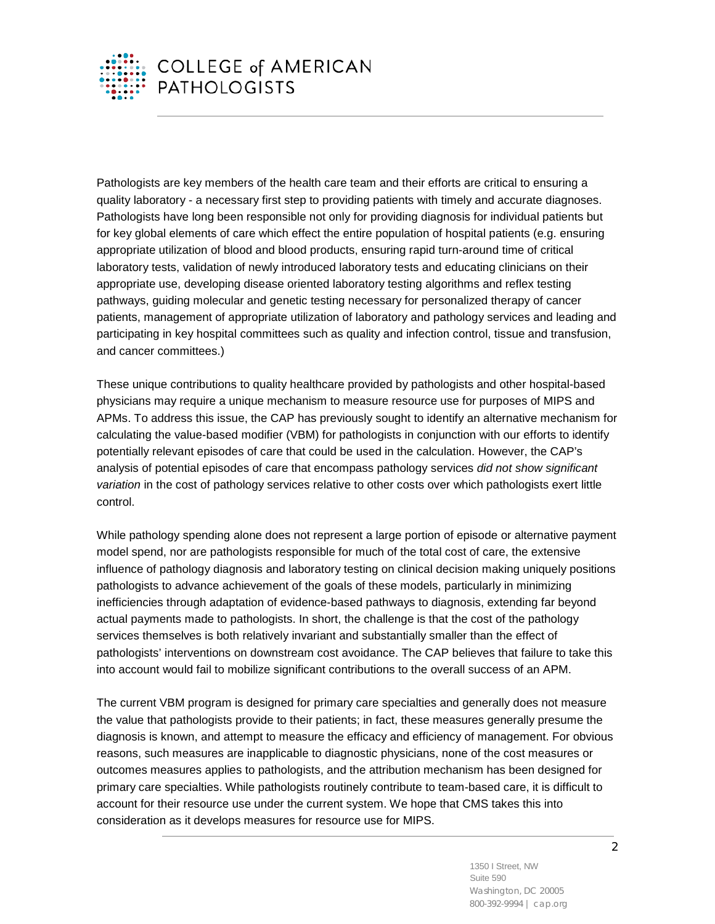

Pathologists are key members of the health care team and their efforts are critical to ensuring a quality laboratory - a necessary first step to providing patients with timely and accurate diagnoses. Pathologists have long been responsible not only for providing diagnosis for individual patients but for key global elements of care which effect the entire population of hospital patients (e.g. ensuring appropriate utilization of blood and blood products, ensuring rapid turn-around time of critical laboratory tests, validation of newly introduced laboratory tests and educating clinicians on their appropriate use, developing disease oriented laboratory testing algorithms and reflex testing pathways, guiding molecular and genetic testing necessary for personalized therapy of cancer patients, management of appropriate utilization of laboratory and pathology services and leading and participating in key hospital committees such as quality and infection control, tissue and transfusion, and cancer committees.)

These unique contributions to quality healthcare provided by pathologists and other hospital-based physicians may require a unique mechanism to measure resource use for purposes of MIPS and APMs. To address this issue, the CAP has previously sought to identify an alternative mechanism for calculating the value-based modifier (VBM) for pathologists in conjunction with our efforts to identify potentially relevant episodes of care that could be used in the calculation. However, the CAP's analysis of potential episodes of care that encompass pathology services *did not show significant variation* in the cost of pathology services relative to other costs over which pathologists exert little control.

While pathology spending alone does not represent a large portion of episode or alternative payment model spend, nor are pathologists responsible for much of the total cost of care, the extensive influence of pathology diagnosis and laboratory testing on clinical decision making uniquely positions pathologists to advance achievement of the goals of these models, particularly in minimizing inefficiencies through adaptation of evidence-based pathways to diagnosis, extending far beyond actual payments made to pathologists. In short, the challenge is that the cost of the pathology services themselves is both relatively invariant and substantially smaller than the effect of pathologists' interventions on downstream cost avoidance. The CAP believes that failure to take this into account would fail to mobilize significant contributions to the overall success of an APM.

The current VBM program is designed for primary care specialties and generally does not measure the value that pathologists provide to their patients; in fact, these measures generally presume the diagnosis is known, and attempt to measure the efficacy and efficiency of management. For obvious reasons, such measures are inapplicable to diagnostic physicians, none of the cost measures or outcomes measures applies to pathologists, and the attribution mechanism has been designed for primary care specialties. While pathologists routinely contribute to team-based care, it is difficult to account for their resource use under the current system. We hope that CMS takes this into consideration as it develops measures for resource use for MIPS.

> 1350 I Street, NW Suite 590 Washington, DC 20005 800-392-9994 | cap.org